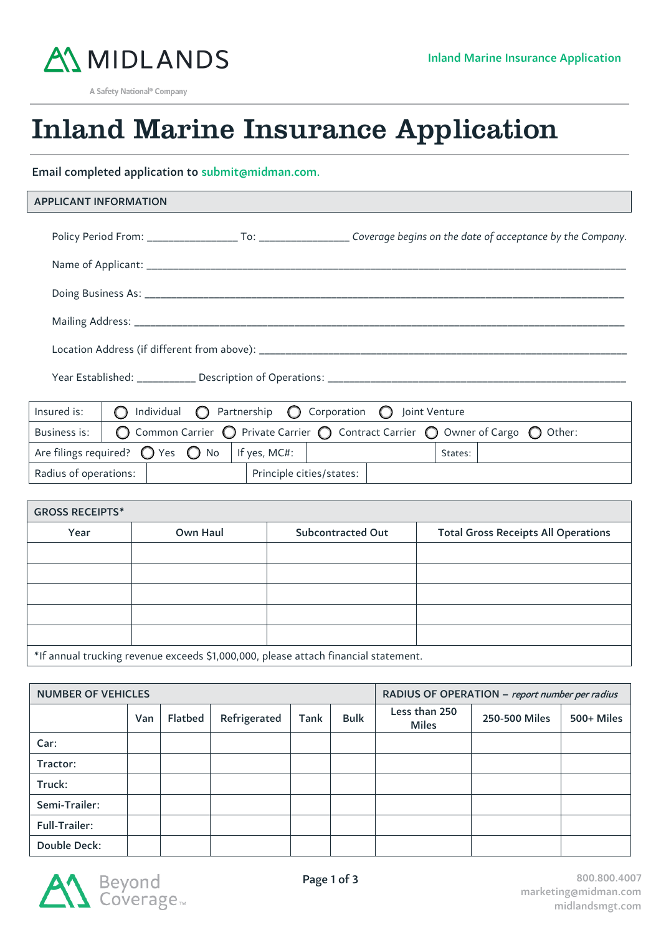

A Safety National<sup>®</sup> Company

## Inland Marine Insurance Application

Email completed application to submit@midman.com.

## APPLICANT INFORMATION

55

 $\overline{a}$ 

| Insured is:                                                       |  | $\bigcirc$ Individual $\bigcirc$ Partnership $\bigcirc$ Corporation $\bigcirc$ Joint Venture |                          |         |                                                                                                                                           |  |
|-------------------------------------------------------------------|--|----------------------------------------------------------------------------------------------|--------------------------|---------|-------------------------------------------------------------------------------------------------------------------------------------------|--|
|                                                                   |  |                                                                                              |                          |         | Business is: $\bigcirc$ Common Carrier $\bigcirc$ Private Carrier $\bigcirc$ Contract Carrier $\bigcirc$ Owner of Cargo $\bigcirc$ Other: |  |
| Are filings required? $\bigcirc$ Yes $\bigcirc$ No   If yes, MC#: |  |                                                                                              |                          | States: |                                                                                                                                           |  |
| Radius of operations:                                             |  |                                                                                              | Principle cities/states: |         |                                                                                                                                           |  |

| <b>GROSS RECEIPTS*</b>                                                              |          |                          |                                            |  |  |
|-------------------------------------------------------------------------------------|----------|--------------------------|--------------------------------------------|--|--|
| Year                                                                                | Own Haul | <b>Subcontracted Out</b> | <b>Total Gross Receipts All Operations</b> |  |  |
|                                                                                     |          |                          |                                            |  |  |
|                                                                                     |          |                          |                                            |  |  |
|                                                                                     |          |                          |                                            |  |  |
|                                                                                     |          |                          |                                            |  |  |
|                                                                                     |          |                          |                                            |  |  |
| *If annual trucking revenue exceeds \$1,000,000, please attach financial statement. |          |                          |                                            |  |  |

NUMBER OF VEHICLES **RADIUS OF OPERATION** – report number per radius Van Flatbed Refrigerated  $Tank$  Bulk Less than 250  $250-500$  Miles  $\parallel$  500+ Miles Car: Tractor: Truck: Semi-Trailer: Full-Trailer: Double Deck:

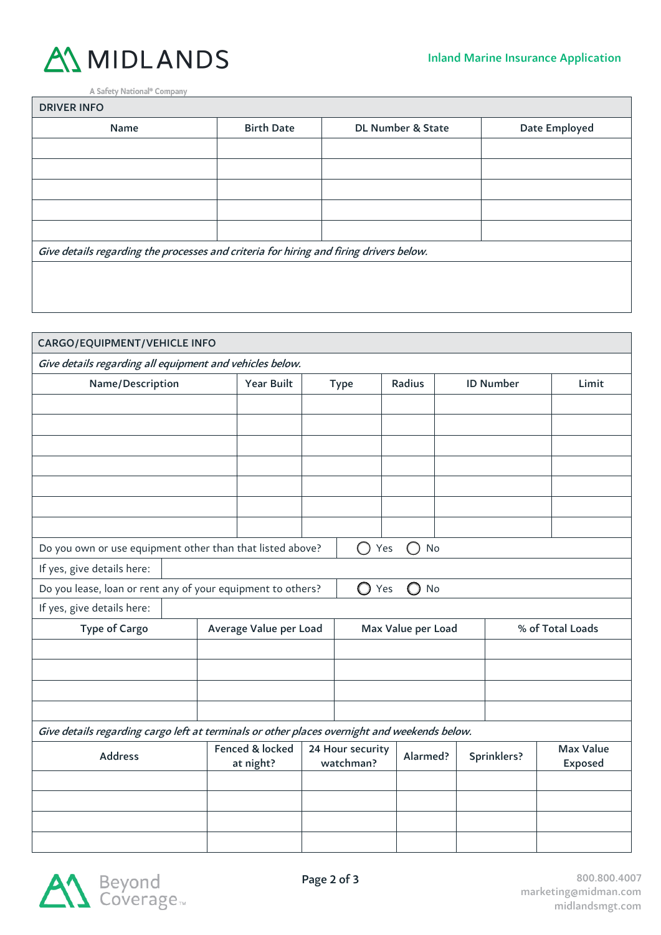

A Safety National<sup>®</sup> Company

Г

| <b>Name</b> | <b>Birth Date</b>                                                                      | DL Number & State | Date Employed |
|-------------|----------------------------------------------------------------------------------------|-------------------|---------------|
|             |                                                                                        |                   |               |
|             |                                                                                        |                   |               |
|             |                                                                                        |                   |               |
|             |                                                                                        |                   |               |
|             |                                                                                        |                   |               |
|             | Give details regarding the processes and criteria for hiring and firing drivers below. |                   |               |

| CARGO/EQUIPMENT/VEHICLE INFO                                                                 |  |                              |             |                               |                    |                  |             |                                    |
|----------------------------------------------------------------------------------------------|--|------------------------------|-------------|-------------------------------|--------------------|------------------|-------------|------------------------------------|
| Give details regarding all equipment and vehicles below.                                     |  |                              |             |                               |                    |                  |             |                                    |
| Name/Description                                                                             |  | <b>Year Built</b>            | <b>Type</b> |                               | <b>Radius</b>      | <b>ID Number</b> |             | Limit                              |
|                                                                                              |  |                              |             |                               |                    |                  |             |                                    |
|                                                                                              |  |                              |             |                               |                    |                  |             |                                    |
|                                                                                              |  |                              |             |                               |                    |                  |             |                                    |
|                                                                                              |  |                              |             |                               |                    |                  |             |                                    |
|                                                                                              |  |                              |             |                               |                    |                  |             |                                    |
|                                                                                              |  |                              |             |                               |                    |                  |             |                                    |
|                                                                                              |  |                              |             |                               |                    |                  |             |                                    |
| Do you own or use equipment other than that listed above?                                    |  |                              |             | ∩<br>Yes                      | ∩<br><b>No</b>     |                  |             |                                    |
| If yes, give details here:                                                                   |  |                              |             |                               |                    |                  |             |                                    |
| Do you lease, loan or rent any of your equipment to others?                                  |  |                              |             | $\bigcirc$ Yes                | No                 |                  |             |                                    |
| If yes, give details here:                                                                   |  |                              |             |                               |                    |                  |             |                                    |
| <b>Type of Cargo</b>                                                                         |  | Average Value per Load       |             |                               | Max Value per Load |                  |             | % of Total Loads                   |
|                                                                                              |  |                              |             |                               |                    |                  |             |                                    |
|                                                                                              |  |                              |             |                               |                    |                  |             |                                    |
|                                                                                              |  |                              |             |                               |                    |                  |             |                                    |
|                                                                                              |  |                              |             |                               |                    |                  |             |                                    |
| Give details regarding cargo left at terminals or other places overnight and weekends below. |  |                              |             |                               |                    |                  |             |                                    |
| Address                                                                                      |  | Fenced & locked<br>at night? |             | 24 Hour security<br>watchman? |                    | Alarmed?         | Sprinklers? | <b>Max Value</b><br><b>Exposed</b> |
|                                                                                              |  |                              |             |                               |                    |                  |             |                                    |
|                                                                                              |  |                              |             |                               |                    |                  |             |                                    |
|                                                                                              |  |                              |             |                               |                    |                  |             |                                    |
|                                                                                              |  |                              |             |                               |                    |                  |             |                                    |